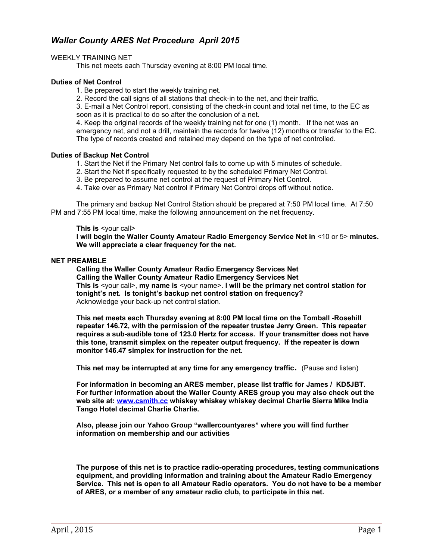# *Waller County ARES Net Procedure April 2015*

## WEEKLY TRAINING NET

This net meets each Thursday evening at 8:00 PM local time.

## **Duties of Net Control**

1. Be prepared to start the weekly training net.

2. Record the call signs of all stations that check-in to the net, and their traffic.

3. E-mail a Net Control report, consisting of the check-in count and total net time, to the EC as soon as it is practical to do so after the conclusion of a net.

4. Keep the original records of the weekly training net for one (1) month. If the net was an emergency net, and not a drill, maintain the records for twelve (12) months or transfer to the EC. The type of records created and retained may depend on the type of net controlled.

## **Duties of Backup Net Control**

1. Start the Net if the Primary Net control fails to come up with 5 minutes of schedule.

- 2. Start the Net if specifically requested to by the scheduled Primary Net Control.
- 3. Be prepared to assume net control at the request of Primary Net Control.
- 4. Take over as Primary Net control if Primary Net Control drops off without notice.

The primary and backup Net Control Station should be prepared at 7:50 PM local time. At 7:50 PM and 7:55 PM local time, make the following announcement on the net frequency.

#### **This is** <your call>

**I will begin the Waller County Amateur Radio Emergency Service Net in** <10 or 5> **minutes. We will appreciate a clear frequency for the net.**

### **NET PREAMBLE**

**Calling the Waller County Amateur Radio Emergency Services Net Calling the Waller County Amateur Radio Emergency Services Net This is** <your call>, **my name is** <your name>. **I will be the primary net control station for tonight's net. Is tonight's backup net control station on frequency?** Acknowledge your back-up net control station.

**This net meets each Thursday evening at 8:00 PM local time on the Tomball -Rosehill repeater 146.72, with the permission of the repeater trustee Jerry Green. This repeater requires a sub-audible tone of 123.0 Hertz for access. If your transmitter does not have this tone, transmit simplex on the repeater output frequency. If the repeater is down monitor 146.47 simplex for instruction for the net.** 

**This net may be interrupted at any time for any emergency traffic.** (Pause and listen)

**For information in becoming an ARES member, please list traffic for James / KD5JBT. For further information about the Waller County ARES group you may also check out the web site at: [www.csmith.cc](http://www.csmith.cc/) whiskey whiskey whiskey decimal Charlie Sierra Mike India Tango Hotel decimal Charlie Charlie.** 

**Also, please join our Yahoo Group "wallercountyares" where you will find further information on membership and our activities** 

**The purpose of this net is to practice radio-operating procedures, testing communications equipment, and providing information and training about the Amateur Radio Emergency Service. This net is open to all Amateur Radio operators. You do not have to be a member of ARES, or a member of any amateur radio club, to participate in this net.**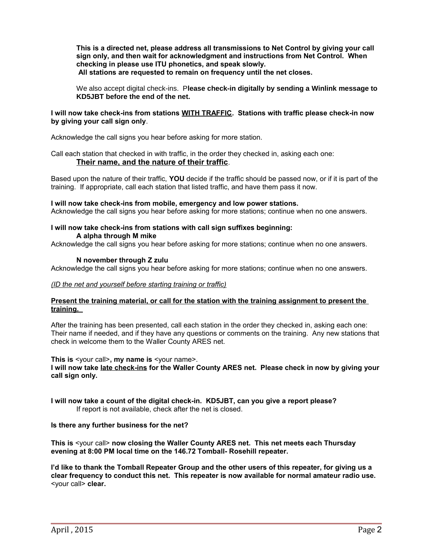**This is a directed net, please address all transmissions to Net Control by giving your call sign only, and then wait for acknowledgment and instructions from Net Control. When checking in please use ITU phonetics, and speak slowly. All stations are requested to remain on frequency until the net closes.** 

We also accept digital check-ins. P**lease check-in digitally by sending a Winlink message to KD5JBT before the end of the net.** 

## **I will now take check-ins from stations WITH TRAFFIC. Stations with traffic please check-in now by giving your call sign only**.

Acknowledge the call signs you hear before asking for more station.

Call each station that checked in with traffic, in the order they checked in, asking each one: **Their name, and the nature of their traffic**.

Based upon the nature of their traffic, **YOU** decide if the traffic should be passed now, or if it is part of the training. If appropriate, call each station that listed traffic, and have them pass it now.

#### **I will now take check-ins from mobile, emergency and low power stations.**

Acknowledge the call signs you hear before asking for more stations; continue when no one answers.

#### **I will now take check-ins from stations with call sign suffixes beginning: A alpha through M mike**

Acknowledge the call signs you hear before asking for more stations; continue when no one answers.

#### **N november through Z zulu**

Acknowledge the call signs you hear before asking for more stations; continue when no one answers.

#### *(ID the net and yourself before starting training or traffic)*

#### **Present the training material, or call for the station with the training assignment to present the training.**

After the training has been presented, call each station in the order they checked in, asking each one: Their name if needed, and if they have any questions or comments on the training. Any new stations that check in welcome them to the Waller County ARES net.

**This is** <your call>**, my name is** <your name>.

**I will now take late check-ins for the Waller County ARES net. Please check in now by giving your call sign only.**

**I will now take a count of the digital check-in. KD5JBT, can you give a report please?**  If report is not available, check after the net is closed.

#### **Is there any further business for the net?**

**This is** <your call> **now closing the Waller County ARES net. This net meets each Thursday evening at 8:00 PM local time on the 146.72 Tomball- Rosehill repeater.** 

**I'd like to thank the Tomball Repeater Group and the other users of this repeater, for giving us a clear frequency to conduct this net. This repeater is now available for normal amateur radio use.** <your call> **clear.**